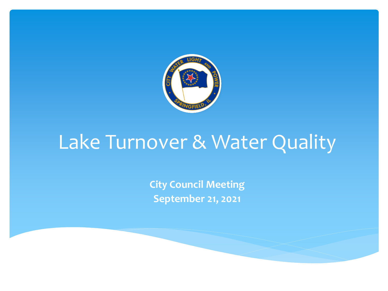

## Lake Turnover & Water Quality

**City Council Meeting September 21, 2021**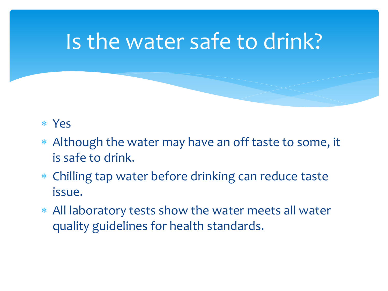## Is the water safe to drink?

#### ∗ Yes

- ∗ Although the water may have an off taste to some, it is safe to drink.
- ∗ Chilling tap water before drinking can reduce taste issue.
- ∗ All laboratory tests show the water meets all water quality guidelines for health standards.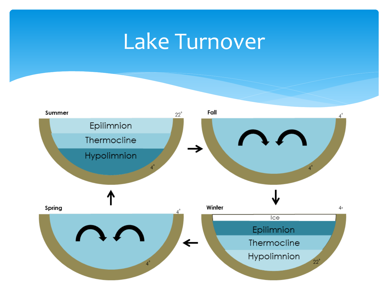## Lake Turnover

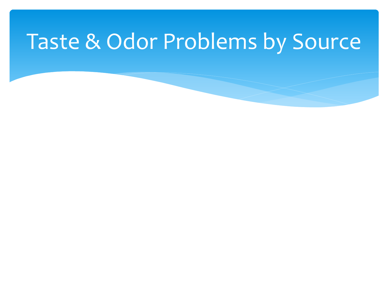## Taste & Odor Problems by Source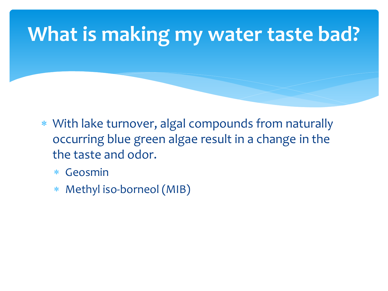### **What is making my water taste bad?**

- ∗ With lake turnover, algal compounds from naturally occurring blue green algae result in a change in the the taste and odor.
	- ∗ Geosmin
	- ∗ Methyl iso-borneol (MIB)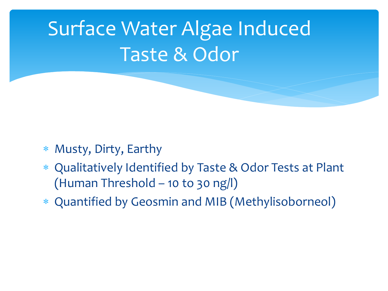## Surface Water Algae Induced Taste & Odor

- ∗ Musty, Dirty, Earthy
- ∗ Qualitatively Identified by Taste & Odor Tests at Plant (Human Threshold – 10 to 30 ng/l)
- ∗ Quantified by Geosmin and MIB (Methylisoborneol)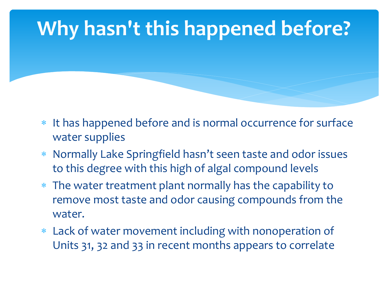## **Why hasn't this happened before?**

- ∗ It has happened before and is normal occurrence for surface water supplies
- ∗ Normally Lake Springfield hasn't seen taste and odor issues to this degree with this high of algal compound levels
- ∗ The water treatment plant normally has the capability to remove most taste and odor causing compounds from the water.
- ∗ Lack of water movement including with nonoperation of Units 31, 32 and 33 in recent months appears to correlate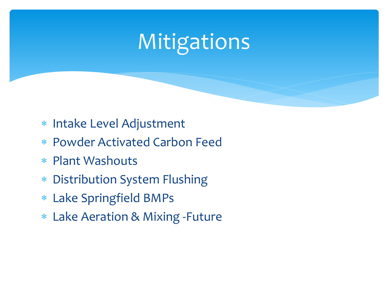# Mitigations

- ∗ Intake Level Adjustment
- ∗ Powder Activated Carbon Feed
- ∗ Plant Washouts
- ∗ Distribution System Flushing
- ∗ Lake Springfield BMPs
- ∗ Lake Aeration & Mixing -Future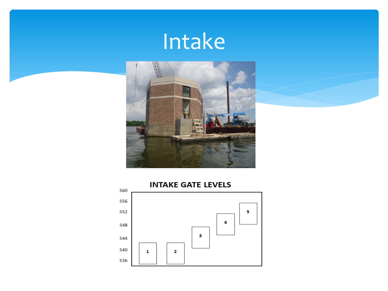## Intake



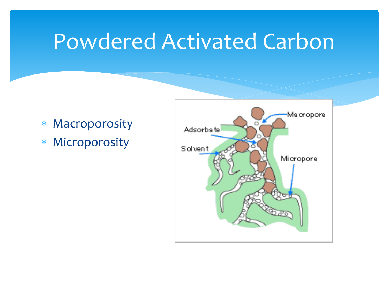## Powdered Activated Carbon

- ∗ Macroporosity
- ∗ Microporosity

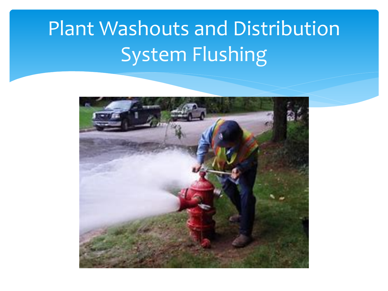## Plant Washouts and Distribution System Flushing

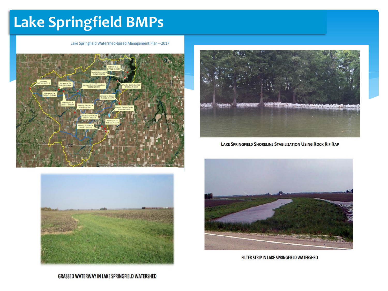#### **Lake Springfield BMPs**

Lake Springfield Watershed-based Management Plan-2017







LAKE SPRINGFIELD SHORELINE STABILIZATION USING ROCK RIP RAP



FILTER STRIP IN LAKE SPRINGFIELD WATERSHED

**GRASSED WATERWAY IN LAKE SPRINGFIELD WATERSHED**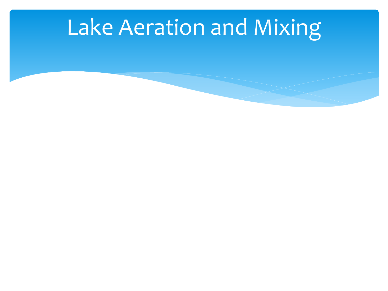## Lake Aeration and Mixing